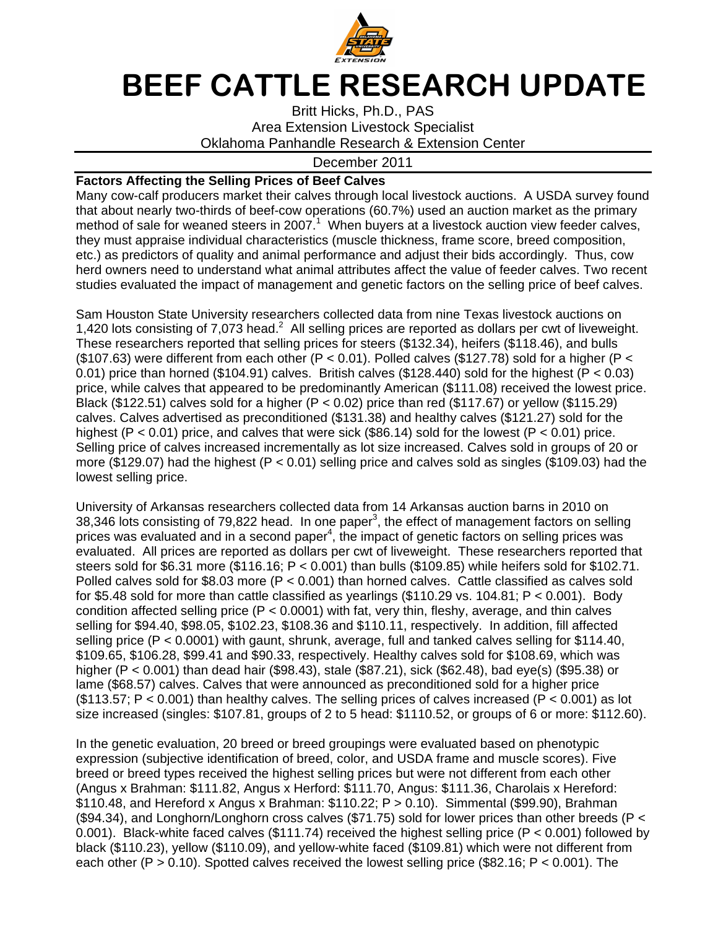

## BEEF CATTLE RESEARCH UPDATE

Britt Hicks, Ph.D., PAS Area Extension Livestock Specialist Oklahoma Panhandle Research & Extension Center

## December 2011

## **Factors Affecting the Selling Prices of Beef Calves**

Many cow-calf producers market their calves through local livestock auctions. A USDA survey found that about nearly two-thirds of beef-cow operations (60.7%) used an auction market as the primary method of sale for weaned steers in 2007. $1$  When buyers at a livestock auction view feeder calves, they must appraise individual characteristics (muscle thickness, frame score, breed composition, etc.) as predictors of quality and animal performance and adjust their bids accordingly. Thus, cow herd owners need to understand what animal attributes affect the value of feeder calves. Two recent studies evaluated the impact of management and genetic factors on the selling price of beef calves.

Sam Houston State University researchers collected data from nine Texas livestock auctions on 1,420 lots consisting of 7,073 head. $^2$  All selling prices are reported as dollars per cwt of liveweight. These researchers reported that selling prices for steers (\$132.34), heifers (\$118.46), and bulls (\$107.63) were different from each other (P < 0.01). Polled calves (\$127.78) sold for a higher (P < 0.01) price than horned (\$104.91) calves. British calves (\$128.440) sold for the highest (P < 0.03) price, while calves that appeared to be predominantly American (\$111.08) received the lowest price. Black (\$122.51) calves sold for a higher (P < 0.02) price than red (\$117.67) or yellow (\$115.29) calves. Calves advertised as preconditioned (\$131.38) and healthy calves (\$121.27) sold for the highest (P < 0.01) price, and calves that were sick (\$86.14) sold for the lowest (P < 0.01) price. Selling price of calves increased incrementally as lot size increased. Calves sold in groups of 20 or more (\$129.07) had the highest (P < 0.01) selling price and calves sold as singles (\$109.03) had the lowest selling price.

University of Arkansas researchers collected data from 14 Arkansas auction barns in 2010 on 38,346 lots consisting of 79,822 head. In one paper<sup>3</sup>, the effect of management factors on selling prices was evaluated and in a second paper<sup>4</sup>, the impact of genetic factors on selling prices was evaluated. All prices are reported as dollars per cwt of liveweight. These researchers reported that steers sold for \$6.31 more (\$116.16;  $P < 0.001$ ) than bulls (\$109.85) while heifers sold for \$102.71. Polled calves sold for \$8.03 more (P < 0.001) than horned calves. Cattle classified as calves sold for \$5.48 sold for more than cattle classified as yearlings  $(\$110.29$  vs. 104.81;  $P < 0.001$ ). Body condition affected selling price  $(P < 0.0001)$  with fat, very thin, fleshy, average, and thin calves selling for \$94.40, \$98.05, \$102.23, \$108.36 and \$110.11, respectively. In addition, fill affected selling price (P < 0.0001) with gaunt, shrunk, average, full and tanked calves selling for \$114.40, \$109.65, \$106.28, \$99.41 and \$90.33, respectively. Healthy calves sold for \$108.69, which was higher (P < 0.001) than dead hair (\$98.43), stale (\$87.21), sick (\$62.48), bad eye(s) (\$95.38) or lame (\$68.57) calves. Calves that were announced as preconditioned sold for a higher price (\$113.57;  $P < 0.001$ ) than healthy calves. The selling prices of calves increased ( $P < 0.001$ ) as lot size increased (singles: \$107.81, groups of 2 to 5 head: \$1110.52, or groups of 6 or more: \$112.60).

In the genetic evaluation, 20 breed or breed groupings were evaluated based on phenotypic expression (subjective identification of breed, color, and USDA frame and muscle scores). Five breed or breed types received the highest selling prices but were not different from each other (Angus x Brahman: \$111.82, Angus x Herford: \$111.70, Angus: \$111.36, Charolais x Hereford: \$110.48, and Hereford x Angus x Brahman:  $$110.22$ ; P  $> 0.10$ ). Simmental (\$99.90), Brahman (\$94.34), and Longhorn/Longhorn cross calves (\$71.75) sold for lower prices than other breeds (P < 0.001). Black-white faced calves (\$111.74) received the highest selling price (P < 0.001) followed by black (\$110.23), yellow (\$110.09), and yellow-white faced (\$109.81) which were not different from each other ( $P > 0.10$ ). Spotted calves received the lowest selling price (\$82.16;  $P < 0.001$ ). The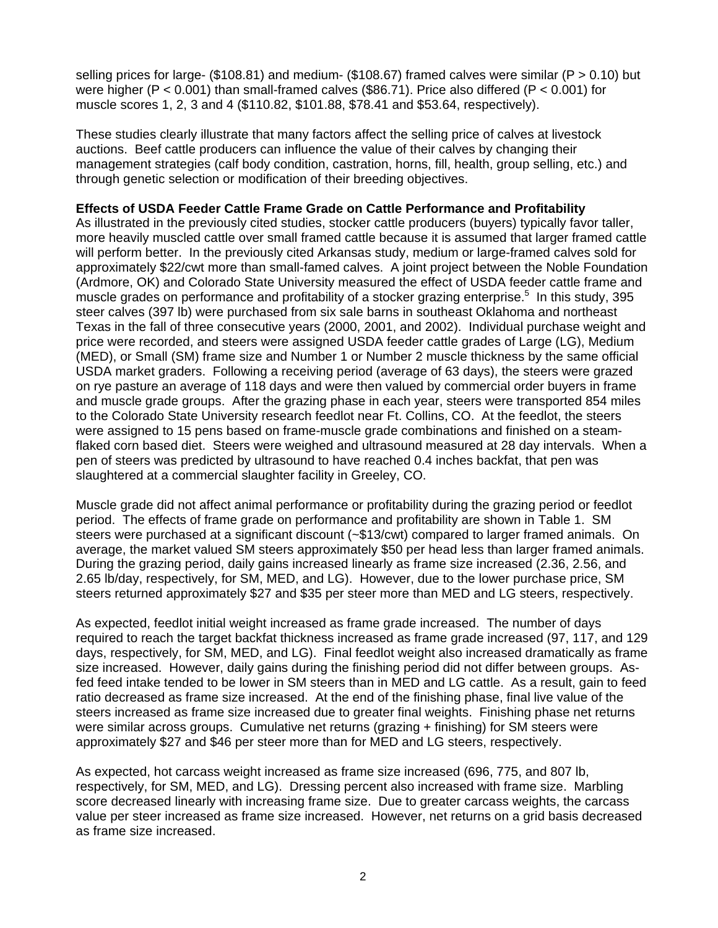selling prices for large- (\$108.81) and medium- (\$108.67) framed calves were similar (P > 0.10) but were higher (P  $<$  0.001) than small-framed calves (\$86.71). Price also differed (P  $<$  0.001) for muscle scores 1, 2, 3 and 4 (\$110.82, \$101.88, \$78.41 and \$53.64, respectively).

These studies clearly illustrate that many factors affect the selling price of calves at livestock auctions. Beef cattle producers can influence the value of their calves by changing their management strategies (calf body condition, castration, horns, fill, health, group selling, etc.) and through genetic selection or modification of their breeding objectives.

## **Effects of USDA Feeder Cattle Frame Grade on Cattle Performance and Profitability**

As illustrated in the previously cited studies, stocker cattle producers (buyers) typically favor taller, more heavily muscled cattle over small framed cattle because it is assumed that larger framed cattle will perform better. In the previously cited Arkansas study, medium or large-framed calves sold for approximately \$22/cwt more than small-famed calves. A joint project between the Noble Foundation (Ardmore, OK) and Colorado State University measured the effect of USDA feeder cattle frame and muscle grades on performance and profitability of a stocker grazing enterprise.<sup>5</sup> In this study, 395 steer calves (397 lb) were purchased from six sale barns in southeast Oklahoma and northeast Texas in the fall of three consecutive years (2000, 2001, and 2002). Individual purchase weight and price were recorded, and steers were assigned USDA feeder cattle grades of Large (LG), Medium (MED), or Small (SM) frame size and Number 1 or Number 2 muscle thickness by the same official USDA market graders. Following a receiving period (average of 63 days), the steers were grazed on rye pasture an average of 118 days and were then valued by commercial order buyers in frame and muscle grade groups. After the grazing phase in each year, steers were transported 854 miles to the Colorado State University research feedlot near Ft. Collins, CO. At the feedlot, the steers were assigned to 15 pens based on frame-muscle grade combinations and finished on a steamflaked corn based diet. Steers were weighed and ultrasound measured at 28 day intervals. When a pen of steers was predicted by ultrasound to have reached 0.4 inches backfat, that pen was slaughtered at a commercial slaughter facility in Greeley, CO.

Muscle grade did not affect animal performance or profitability during the grazing period or feedlot period. The effects of frame grade on performance and profitability are shown in Table 1. SM steers were purchased at a significant discount (~\$13/cwt) compared to larger framed animals. On average, the market valued SM steers approximately \$50 per head less than larger framed animals. During the grazing period, daily gains increased linearly as frame size increased (2.36, 2.56, and 2.65 lb/day, respectively, for SM, MED, and LG). However, due to the lower purchase price, SM steers returned approximately \$27 and \$35 per steer more than MED and LG steers, respectively.

As expected, feedlot initial weight increased as frame grade increased. The number of days required to reach the target backfat thickness increased as frame grade increased (97, 117, and 129 days, respectively, for SM, MED, and LG). Final feedlot weight also increased dramatically as frame size increased. However, daily gains during the finishing period did not differ between groups. Asfed feed intake tended to be lower in SM steers than in MED and LG cattle. As a result, gain to feed ratio decreased as frame size increased. At the end of the finishing phase, final live value of the steers increased as frame size increased due to greater final weights. Finishing phase net returns were similar across groups. Cumulative net returns (grazing + finishing) for SM steers were approximately \$27 and \$46 per steer more than for MED and LG steers, respectively.

As expected, hot carcass weight increased as frame size increased (696, 775, and 807 lb, respectively, for SM, MED, and LG). Dressing percent also increased with frame size. Marbling score decreased linearly with increasing frame size. Due to greater carcass weights, the carcass value per steer increased as frame size increased. However, net returns on a grid basis decreased as frame size increased.